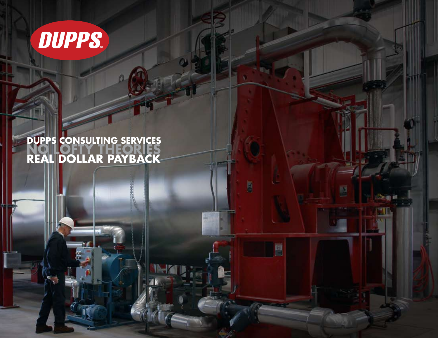

## **Dupps Consulting Services NO LOFTY THEORIES Real Dollar Payback**

ā

в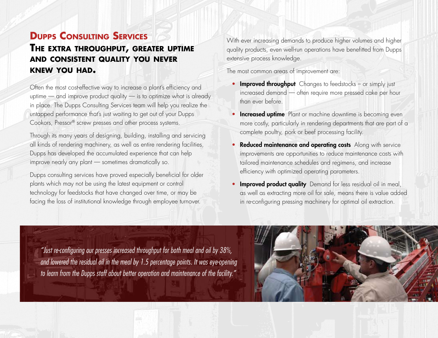### **Dupps Consulting Services The extra throughput, greater uptime and consistent quality you never knew you had.**

Often the most cost-effective way to increase a plant's efficiency and uptime — and improve product quality — is to optimize what is already in place. The Dupps Consulting Services team will help you realize the untapped performance that's just waiting to get out of your Dupps Cookors, Pressor® screw presses and other process systems.

Through its many years of designing, building, installing and servicing all kinds of rendering machinery, as well as entire rendering facilities, Dupps has developed the accumulated experience that can help improve nearly any plant — sometimes dramatically so.

Dupps consulting services have proved especially beneficial for older plants which may not be using the latest equipment or control technology for feedstocks that have changed over time, or may be facing the loss of institutional knowledge through employee turnover.

With ever increasing demands to produce higher volumes and higher quality products, even well-run operations have benefitted from Dupps extensive process knowledge.

The most common areas of improvement are:

- Improved throughput Changes to feedstocks or simply just increased demand — often require more pressed cake per hour than ever before.
- **Increased uptime** Plant or machine downtime is becoming even more costly, particularly in rendering departments that are part of a complete poultry, pork or beef processing facility.
- Reduced maintenance and operating costs Along with service improvements are opportunities to reduce maintenance costs with tailored maintenance schedules and regimens, and increase efficiency with optimized operating parameters.
- Improved product quality Demand for less residual oil in meal, as well as extracting more oil for sale, means there is value added in re-configuring pressing machinery for optimal oil extraction.

*"Just re-configuring our presses increased throughput for both meal and oil by 38%, and lowered the residual oil in the meal by 1.5 percentage points. It was eye-opening to learn from the Dupps staff about better operation and maintenance of the facility."* 

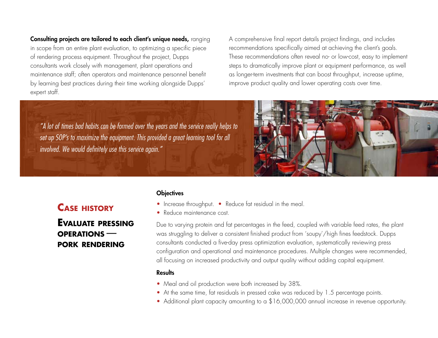Consulting projects are tailored to each client's unique needs, ranging in scope from an entire plant evaluation, to optimizing a specific piece of rendering process equipment. Throughout the project, Dupps consultants work closely with management, plant operations and maintenance staff; often operators and maintenance personnel benefit by learning best practices during their time working alongside Dupps' expert staff.

A comprehensive final report details project findings, and includes recommendations specifically aimed at achieving the client's goals. These recommendations often reveal no- or low-cost, easy to implement steps to dramatically improve plant or equipment performance, as well as longer-term investments that can boost throughput, increase uptime, improve product quality and lower operating costs over time.

*"A lot of times bad habits can be formed over the years and the service really helps to set up SOP's to maximize the equipment. This provided a great learning tool for all involved. We would definitely use this service again."*



## **Evaluate pressing operations pork rendering**

#### **Objectives**

- Increase throughput. Reduce fat residual in the meal.
- Reduce maintenance cost.

Due to varying protein and fat percentages in the feed, coupled with variable feed rates, the plant was struggling to deliver a consistent finished product from 'soupy'/high fines feedstock. Dupps consultants conducted a five-day press optimization evaluation, systematically reviewing press configuration and operational and maintenance procedures. Multiple changes were recommended, all focusing on increased productivity and output quality without adding capital equipment.

#### **Results**

- Meal and oil production were both increased by 38%.
- At the same time, fat residuals in pressed cake was reduced by 1.5 percentage points.
- Additional plant capacity amounting to a \$16,000,000 annual increase in revenue opportunity.